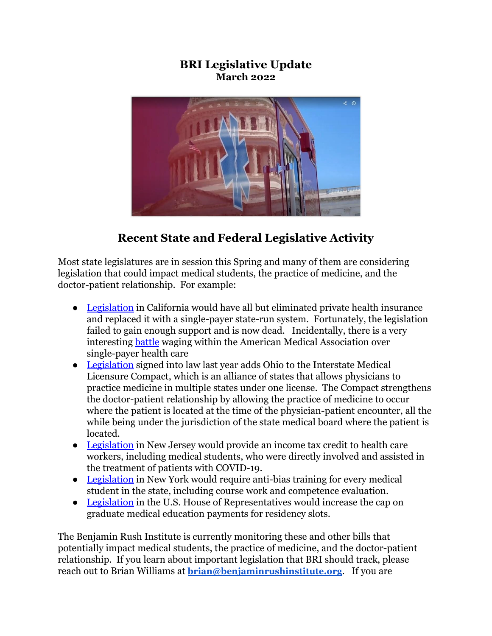#### **BRI Legislative Update March 2022**



# **Recent State and Federal Legislative Activity**

Most state legislatures are in session this Spring and many of them are considering legislation that could impact medical students, the practice of medicine, and the doctor-patient relationship. For example:

- [Legislation](https://leginfo.legislature.ca.gov/faces/billStatusClient.xhtml?bill_id=202120220AB1400) in California would have all but eliminated private health insurance and replaced it with a single-payer state-run system. Fortunately, the legislation failed to gain enough support and is now dead. Incidentally, there is a very interesting [battle](https://www.newyorker.com/science/annals-of-medicine/the-fight-within-the-american-medical-association) waging within the American Medical Association over single-payer health care
- [Legislation](https://www.legislature.ohio.gov/legislation/legislation-summary?id=GA134-SB-6) signed into law last year adds Ohio to the Interstate Medical Licensure Compact, which is an alliance of states that allows physicians to practice medicine in multiple states under one license. The Compact strengthens the doctor-patient relationship by allowing the practice of medicine to occur where the patient is located at the time of the physician-patient encounter, all the while being under the jurisdiction of the state medical board where the patient is located.
- [Legislation](https://www.njleg.state.nj.us/bill-search/2022/A1153) in New Jersey would provide an income tax credit to health care workers, including medical students, who were directly involved and assisted in the treatment of patients with COVID-19.
- [Legislation](https://www.nysenate.gov/legislation/bills/2021/A1401) in New York would require anti-bias training for every medical student in the state, including course work and competence evaluation.
- [Legislation](https://www.congress.gov/bill/117th-congress/house-bill/4014/all-info) in the U.S. House of Representatives would increase the cap on graduate medical education payments for residency slots.

The Benjamin Rush Institute is currently monitoring these and other bills that potentially impact medical students, the practice of medicine, and the doctor-patient relationship. If you learn about important legislation that BRI should track, please reach out to Brian Williams at **[brian@benjaminrushinstitute.org](mailto:brian@benjaminrushinstitute.org)**. If you are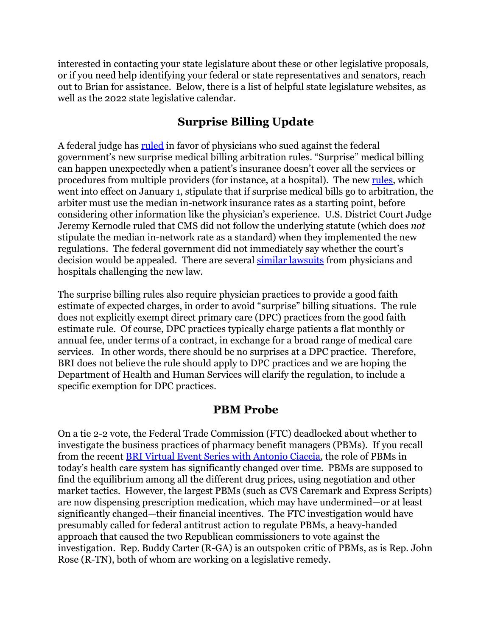interested in contacting your state legislature about these or other legislative proposals, or if you need help identifying your federal or state representatives and senators, reach out to Brian for assistance. Below, there is a list of helpful state legislature websites, as well as the 2022 state legislative calendar.

### **Surprise Billing Update**

A federal judge has [ruled](https://www.documentcloud.org/documents/21273410-no-surprises-act-tma-v-hhs-summary-judgment) in favor of physicians who sued against the federal government's new surprise medical billing arbitration rules. "Surprise" medical billing can happen unexpectedly when a patient's insurance doesn't cover all the services or procedures from multiple providers (for instance, at a hospital). The new [rules](https://www.cms.gov/nosurprises), which went into effect on January 1, stipulate that if surprise medical bills go to arbitration, the arbiter must use the median in-network insurance rates as a starting point, before considering other information like the physician's experience. U.S. District Court Judge Jeremy Kernodle ruled that CMS did not follow the underlying statute (which does *not* stipulate the median in-network rate as a standard) when they implemented the new regulations. The federal government did not immediately say whether the court's decision would be appealed. There are several similar [lawsuits](https://www.healthaffairs.org/do/10.1377/forefront.20220216.824139/) from physicians and hospitals challenging the new law.

The surprise billing rules also require physician practices to provide a good faith estimate of expected charges, in order to avoid "surprise" billing situations. The rule does not explicitly exempt direct primary care (DPC) practices from the good faith estimate rule. Of course, DPC practices typically charge patients a flat monthly or annual fee, under terms of a contract, in exchange for a broad range of medical care services. In other words, there should be no surprises at a DPC practice. Therefore, BRI does not believe the rule should apply to DPC practices and we are hoping the Department of Health and Human Services will clarify the regulation, to include a specific exemption for DPC practices.

#### **PBM Probe**

On a tie 2-2 vote, the Federal Trade Commission (FTC) deadlocked about whether to investigate the business practices of pharmacy benefit managers (PBMs). If you recall from the recent [BRI Virtual Event Series with Antonio](https://www.youtube.com/watch?v=UZV_VoAfwHc) Ciaccia, the role of PBMs in today's health care system has significantly changed over time. PBMs are supposed to find the equilibrium among all the different drug prices, using negotiation and other market tactics. However, the largest PBMs (such as CVS Caremark and Express Scripts) are now dispensing prescription medication, which may have undermined—or at least significantly changed—their financial incentives. The FTC investigation would have presumably called for federal antitrust action to regulate PBMs, a heavy-handed approach that caused the two Republican commissioners to vote against the investigation. Rep. Buddy Carter (R-GA) is an outspoken critic of PBMs, as is Rep. John Rose (R-TN), both of whom are working on a legislative remedy.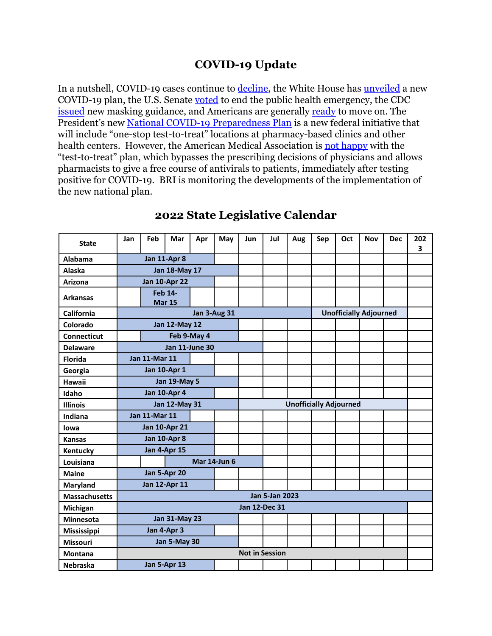## **COVID-19 Update**

In a nutshell, COVID-19 cases continue to [decline,](https://www.axios.com/covid-cases-continue-steep-decline-in-us-420ab059-19df-4d4c-9052-178fe17aeb3e.html) the White House has *[unveiled](https://www.whitehouse.gov/covidplan/)* a new COVID-19 plan, the U.S. Senate [voted](https://www.politico.com/news/2022/03/03/senate-votes-to-end-covid-19-emergency-declaration-biden-threatens-veto-00013946) to end the public health emergency, the CDC [issued](https://www.cdc.gov/coronavirus/2019-ncov/prevent-getting-sick/about-face-coverings.html) new masking guidance, and Americans are generally [ready](https://www.axios.com/axios-ipsos-poll-covid-recovery-biden-d2e3990a-5ecc-4a99-976c-da77bd8c4078.html) to move on. The President's new [National COVID-19 Preparedness Plan](https://www.whitehouse.gov/covidplan/) is a new federal initiative that will include "one-stop test-to-treat" locations at pharmacy-based clinics and other health centers. However, the American Medical Association is [not happy](https://www.ama-assn.org/press-center/press-releases/ama-statement-administration-s-test-treat-covid-19-plan) with the "test-to-treat" plan, which bypasses the prescribing decisions of physicians and allows pharmacists to give a free course of antivirals to patients, immediately after testing positive for COVID-19. BRI is monitoring the developments of the implementation of the new national plan.

| <b>State</b>         | Jan                             | Feb                  | Mar                  | Apr                 | May | <b>Jun</b>            | Jul                           | Aug | Sep                           | Oct | <b>Nov</b> | <b>Dec</b> | 202<br>3 |
|----------------------|---------------------------------|----------------------|----------------------|---------------------|-----|-----------------------|-------------------------------|-----|-------------------------------|-----|------------|------------|----------|
| <b>Alabama</b>       | Jan 11-Apr 8                    |                      |                      |                     |     |                       |                               |     |                               |     |            |            |          |
| Alaska               |                                 |                      | <b>Jan 18-May 17</b> |                     |     |                       |                               |     |                               |     |            |            |          |
| Arizona              |                                 |                      | <b>Jan 10-Apr 22</b> |                     |     |                       |                               |     |                               |     |            |            |          |
| <b>Arkansas</b>      | <b>Feb 14-</b><br><b>Mar 15</b> |                      |                      |                     |     |                       |                               |     |                               |     |            |            |          |
| California           | <b>Jan 3-Aug 31</b>             |                      |                      |                     |     |                       |                               |     | <b>Unofficially Adjourned</b> |     |            |            |          |
| Colorado             | <b>Jan 12-May 12</b>            |                      |                      |                     |     |                       |                               |     |                               |     |            |            |          |
| <b>Connecticut</b>   | Feb 9-May 4                     |                      |                      |                     |     |                       |                               |     |                               |     |            |            |          |
| <b>Delaware</b>      | <b>Jan 11-June 30</b>           |                      |                      |                     |     |                       |                               |     |                               |     |            |            |          |
| <b>Florida</b>       |                                 | <b>Jan 11-Mar 11</b> |                      |                     |     |                       |                               |     |                               |     |            |            |          |
| Georgia              | <b>Jan 10-Apr 1</b>             |                      |                      |                     |     |                       |                               |     |                               |     |            |            |          |
| <b>Hawaii</b>        | <b>Jan 19-May 5</b>             |                      |                      |                     |     |                       |                               |     |                               |     |            |            |          |
| Idaho                | <b>Jan 10-Apr 4</b>             |                      |                      |                     |     |                       |                               |     |                               |     |            |            |          |
| <b>Illinois</b>      | <b>Jan 12-May 31</b>            |                      |                      |                     |     |                       | <b>Unofficially Adjourned</b> |     |                               |     |            |            |          |
| Indiana              | <b>Jan 11-Mar 11</b>            |                      |                      |                     |     |                       |                               |     |                               |     |            |            |          |
| lowa                 | <b>Jan 10-Apr 21</b>            |                      |                      |                     |     |                       |                               |     |                               |     |            |            |          |
| <b>Kansas</b>        | Jan 10-Apr 8                    |                      |                      |                     |     |                       |                               |     |                               |     |            |            |          |
| Kentucky             | Jan 4-Apr 15                    |                      |                      |                     |     |                       |                               |     |                               |     |            |            |          |
| Louisiana            |                                 |                      |                      | <b>Mar 14-Jun 6</b> |     |                       |                               |     |                               |     |            |            |          |
| <b>Maine</b>         | Jan 5-Apr 20                    |                      |                      |                     |     |                       |                               |     |                               |     |            |            |          |
| Maryland             | <b>Jan 12-Apr 11</b>            |                      |                      |                     |     |                       |                               |     |                               |     |            |            |          |
| <b>Massachusetts</b> | <b>Jan 5-Jan 2023</b>           |                      |                      |                     |     |                       |                               |     |                               |     |            |            |          |
| Michigan             | Jan 12-Dec 31                   |                      |                      |                     |     |                       |                               |     |                               |     |            |            |          |
| <b>Minnesota</b>     | <b>Jan 31-May 23</b>            |                      |                      |                     |     |                       |                               |     |                               |     |            |            |          |
| Mississippi          |                                 |                      | Jan 4-Apr 3          |                     |     |                       |                               |     |                               |     |            |            |          |
| <b>Missouri</b>      | Jan 5-May 30                    |                      |                      |                     |     |                       |                               |     |                               |     |            |            |          |
| <b>Montana</b>       |                                 |                      |                      |                     |     | <b>Not in Session</b> |                               |     |                               |     |            |            |          |
| <b>Nebraska</b>      | Jan 5-Apr 13                    |                      |                      |                     |     |                       |                               |     |                               |     |            |            |          |

#### **2022 State Legislative Calendar**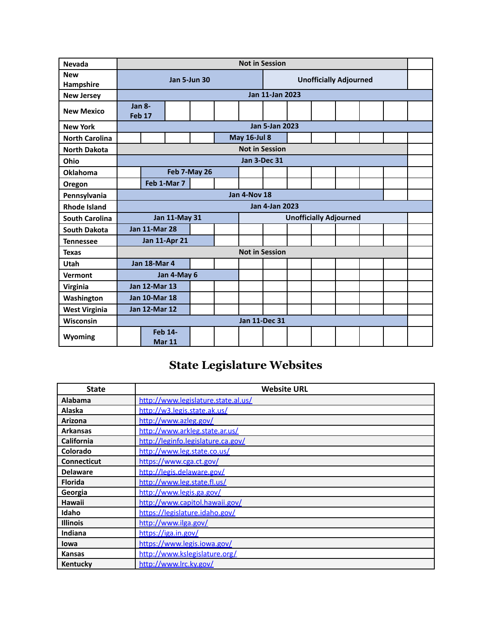| <b>Nevada</b>           | <b>Not in Session</b>                                 |                       |  |  |  |                     |                               |  |  |  |  |  |  |
|-------------------------|-------------------------------------------------------|-----------------------|--|--|--|---------------------|-------------------------------|--|--|--|--|--|--|
| <b>New</b><br>Hampshire | <b>Jan 5-Jun 30</b>                                   |                       |  |  |  |                     | <b>Unofficially Adjourned</b> |  |  |  |  |  |  |
| <b>New Jersey</b>       | <b>Jan 11-Jan 2023</b>                                |                       |  |  |  |                     |                               |  |  |  |  |  |  |
| <b>New Mexico</b>       | $Jan 8-$<br>Feb <sub>17</sub>                         |                       |  |  |  |                     |                               |  |  |  |  |  |  |
| <b>New York</b>         |                                                       | <b>Jan 5-Jan 2023</b> |  |  |  |                     |                               |  |  |  |  |  |  |
| <b>North Carolina</b>   |                                                       |                       |  |  |  | <b>May 16-Jul 8</b> |                               |  |  |  |  |  |  |
| <b>North Dakota</b>     | <b>Not in Session</b>                                 |                       |  |  |  |                     |                               |  |  |  |  |  |  |
| Ohio                    |                                                       | Jan 3-Dec 31          |  |  |  |                     |                               |  |  |  |  |  |  |
| Oklahoma                | Feb 7-May 26                                          |                       |  |  |  |                     |                               |  |  |  |  |  |  |
| Oregon                  |                                                       | Feb 1-Mar 7           |  |  |  |                     |                               |  |  |  |  |  |  |
| Pennsylvania            | <b>Jan 4-Nov 18</b>                                   |                       |  |  |  |                     |                               |  |  |  |  |  |  |
| <b>Rhode Island</b>     | <b>Jan 4-Jan 2023</b>                                 |                       |  |  |  |                     |                               |  |  |  |  |  |  |
| <b>South Carolina</b>   | <b>Jan 11-May 31</b><br><b>Unofficially Adjourned</b> |                       |  |  |  |                     |                               |  |  |  |  |  |  |
| <b>South Dakota</b>     | <b>Jan 11-Mar 28</b>                                  |                       |  |  |  |                     |                               |  |  |  |  |  |  |
| <b>Tennessee</b>        | <b>Jan 11-Apr 21</b>                                  |                       |  |  |  |                     |                               |  |  |  |  |  |  |
| <b>Texas</b>            | <b>Not in Session</b>                                 |                       |  |  |  |                     |                               |  |  |  |  |  |  |
| Utah                    | <b>Jan 18-Mar 4</b>                                   |                       |  |  |  |                     |                               |  |  |  |  |  |  |
| Vermont                 | Jan 4-May 6                                           |                       |  |  |  |                     |                               |  |  |  |  |  |  |
| Virginia                | <b>Jan 12-Mar 13</b>                                  |                       |  |  |  |                     |                               |  |  |  |  |  |  |
| Washington              | <b>Jan 10-Mar 18</b>                                  |                       |  |  |  |                     |                               |  |  |  |  |  |  |
| <b>West Virginia</b>    | <b>Jan 12-Mar 12</b>                                  |                       |  |  |  |                     |                               |  |  |  |  |  |  |
| <b>Wisconsin</b>        | <b>Jan 11-Dec 31</b>                                  |                       |  |  |  |                     |                               |  |  |  |  |  |  |
| Wyoming                 | <b>Feb 14-</b><br><b>Mar 11</b>                       |                       |  |  |  |                     |                               |  |  |  |  |  |  |

# **State Legislature Websites**

| <b>State</b>       | <b>Website URL</b>                  |
|--------------------|-------------------------------------|
| <b>Alabama</b>     | http://www.legislature.state.al.us/ |
| Alaska             | http://w3.legis.state.ak.us/        |
| <b>Arizona</b>     | http://www.azleg.gov/               |
| <b>Arkansas</b>    | http://www.arkleg.state.ar.us/      |
| <b>California</b>  | http://leginfo.legislature.ca.gov/  |
| Colorado           | http://www.leg.state.co.us/         |
| <b>Connecticut</b> | https://www.cga.ct.gov/             |
| <b>Delaware</b>    | http://legis.delaware.gov/          |
| <b>Florida</b>     | http://www.leg.state.fl.us/         |
| Georgia            | http://www.legis.ga.gov/            |
| Hawaii             | http://www.capitol.hawaii.gov/      |
| Idaho              | https://legislature.idaho.gov/      |
| <b>Illinois</b>    | http://www.ilga.gov/                |
| <b>Indiana</b>     | https://iga.in.gov/                 |
| lowa               | https://www.legis.iowa.gov/         |
| <b>Kansas</b>      | http://www.kslegislature.org/       |
| Kentucky           | http://www.lrc.ky.gov/              |